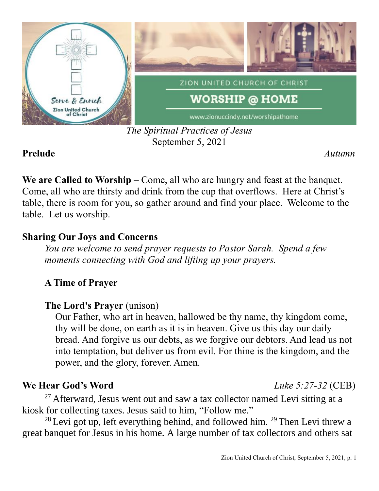

### *The Spiritual Practices of Jesus* September 5, 2021

### **Prelude** *Autumn*

We are Called to Worship – Come, all who are hungry and feast at the banquet. Come, all who are thirsty and drink from the cup that overflows. Here at Christ's table, there is room for you, so gather around and find your place. Welcome to the table. Let us worship.

# **Sharing Our Joys and Concerns**

*You are welcome to send prayer requests to Pastor Sarah. Spend a few moments connecting with God and lifting up your prayers.*

# **A Time of Prayer**

# **The Lord's Prayer** (unison)

Our Father, who art in heaven, hallowed be thy name, thy kingdom come, thy will be done, on earth as it is in heaven. Give us this day our daily bread. And forgive us our debts, as we forgive our debtors. And lead us not into temptation, but deliver us from evil. For thine is the kingdom, and the power, and the glory, forever. Amen.

# **We Hear God's Word** *Luke 5:27-32* (CEB)

<sup>27</sup> Afterward, Jesus went out and saw a tax collector named Levi sitting at a kiosk for collecting taxes. Jesus said to him, "Follow me."

 $28$  Levi got up, left everything behind, and followed him.  $29$  Then Levi threw a great banquet for Jesus in his home. A large number of tax collectors and others sat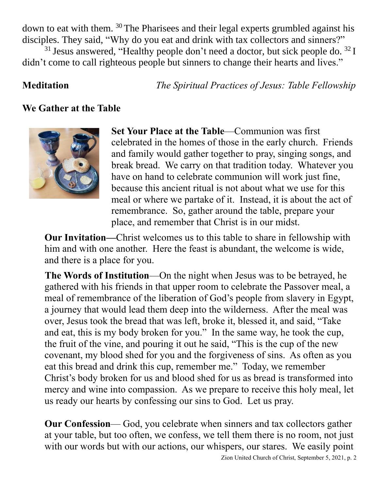down to eat with them. <sup>30</sup> The Pharisees and their legal experts grumbled against his disciples. They said, "Why do you eat and drink with tax collectors and sinners?"

 $31$  Jesus answered, "Healthy people don't need a doctor, but sick people do.  $32$  I didn't come to call righteous people but sinners to change their hearts and lives."

**Meditation** *The Spiritual Practices of Jesus: Table Fellowship*

### **We Gather at the Table**



**Set Your Place at the Table**—Communion was first celebrated in the homes of those in the early church. Friends and family would gather together to pray, singing songs, and break bread. We carry on that tradition today. Whatever you have on hand to celebrate communion will work just fine, because this ancient ritual is not about what we use for this meal or where we partake of it. Instead, it is about the act of remembrance. So, gather around the table, prepare your place, and remember that Christ is in our midst.

**Our Invitation—**Christ welcomes us to this table to share in fellowship with him and with one another. Here the feast is abundant, the welcome is wide, and there is a place for you.

**The Words of Institution**—On the night when Jesus was to be betrayed, he gathered with his friends in that upper room to celebrate the Passover meal, a meal of remembrance of the liberation of God's people from slavery in Egypt, a journey that would lead them deep into the wilderness. After the meal was over, Jesus took the bread that was left, broke it, blessed it, and said, "Take and eat, this is my body broken for you." In the same way, he took the cup, the fruit of the vine, and pouring it out he said, "This is the cup of the new covenant, my blood shed for you and the forgiveness of sins. As often as you eat this bread and drink this cup, remember me." Today, we remember Christ's body broken for us and blood shed for us as bread is transformed into mercy and wine into compassion. As we prepare to receive this holy meal, let us ready our hearts by confessing our sins to God. Let us pray.

**Our Confession**— God, you celebrate when sinners and tax collectors gather at your table, but too often, we confess, we tell them there is no room, not just with our words but with our actions, our whispers, our stares. We easily point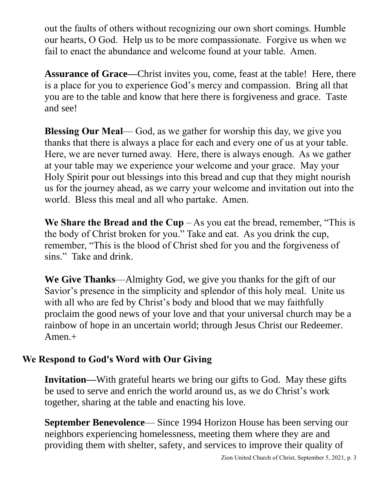out the faults of others without recognizing our own short comings. Humble our hearts, O God. Help us to be more compassionate. Forgive us when we fail to enact the abundance and welcome found at your table. Amen.

**Assurance of Grace—**Christ invites you, come, feast at the table! Here, there is a place for you to experience God's mercy and compassion. Bring all that you are to the table and know that here there is forgiveness and grace. Taste and see!

**Blessing Our Meal**— God, as we gather for worship this day, we give you thanks that there is always a place for each and every one of us at your table. Here, we are never turned away. Here, there is always enough. As we gather at your table may we experience your welcome and your grace. May your Holy Spirit pour out blessings into this bread and cup that they might nourish us for the journey ahead, as we carry your welcome and invitation out into the world. Bless this meal and all who partake. Amen.

**We Share the Bread and the Cup**  $-$  As you eat the bread, remember, "This is the body of Christ broken for you." Take and eat. As you drink the cup, remember, "This is the blood of Christ shed for you and the forgiveness of sins." Take and drink.

**We Give Thanks**—Almighty God, we give you thanks for the gift of our Savior's presence in the simplicity and splendor of this holy meal. Unite us with all who are fed by Christ's body and blood that we may faithfully proclaim the good news of your love and that your universal church may be a rainbow of hope in an uncertain world; through Jesus Christ our Redeemer. Amen.+

# **We Respond to God's Word with Our Giving**

**Invitation—**With grateful hearts we bring our gifts to God. May these gifts be used to serve and enrich the world around us, as we do Christ's work together, sharing at the table and enacting his love.

**September Benevolence**— Since 1994 Horizon House has been serving our neighbors experiencing homelessness, meeting them where they are and providing them with shelter, safety, and services to improve their quality of